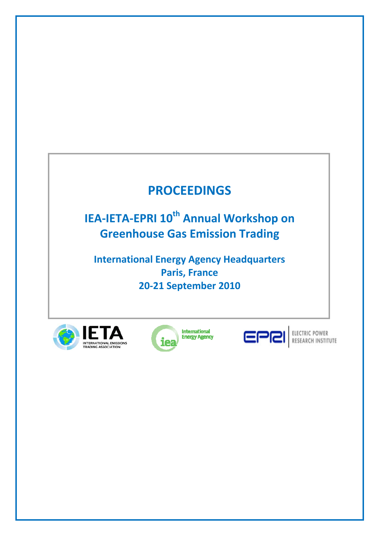# **PROCEEDINGS**

**IEA-IETA-EPRI 10<sup>th</sup> Annual Workshop on Greenhouse Gas Emission Trading** 

**International Energy Agency Headquarters Paris, France 20-21 September 2010** 









ELECTRIC POWER<br>RESEARCH INSTITUTE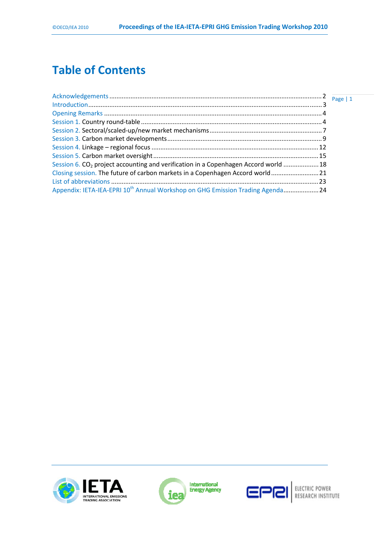## **Table of Contents**

| Session 6. CO <sub>2</sub> project accounting and verification in a Copenhagen Accord world  18<br>Closing session. The future of carbon markets in a Copenhagen Accord world 21<br>Appendix: IETA-IEA-EPRI 10 <sup>th</sup> Annual Workshop on GHG Emission Trading Agenda 24 |  |  |
|--------------------------------------------------------------------------------------------------------------------------------------------------------------------------------------------------------------------------------------------------------------------------------|--|--|
|                                                                                                                                                                                                                                                                                |  |  |
|                                                                                                                                                                                                                                                                                |  |  |
|                                                                                                                                                                                                                                                                                |  |  |
|                                                                                                                                                                                                                                                                                |  |  |
|                                                                                                                                                                                                                                                                                |  |  |
|                                                                                                                                                                                                                                                                                |  |  |
|                                                                                                                                                                                                                                                                                |  |  |
|                                                                                                                                                                                                                                                                                |  |  |
|                                                                                                                                                                                                                                                                                |  |  |
|                                                                                                                                                                                                                                                                                |  |  |
|                                                                                                                                                                                                                                                                                |  |  |





**International**<br>Energy Agency

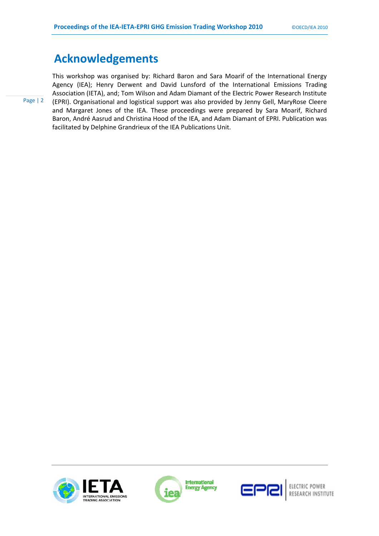## **Acknowledgements**

This workshop was organised by: Richard Baron and Sara Moarif of the International Energy Agency (IEA); Henry Derwent and David Lunsford of the International Emissions Trading Association (IETA), and; Tom Wilson and Adam Diamant of the Electric Power Research Institute (EPRI). Organisational and logistical support was also provided by Jenny Gell, MaryRose Cleere and Margaret Jones of the IEA. These proceedings were prepared by Sara Moarif, Richard Baron, André Aasrud and Christina Hood of the IEA, and Adam Diamant of EPRI. Publication was facilitated by Delphine Grandrieux of the IEA Publications Unit.





International **Energy Agency** 



ELECTRIC POWER RESEARCH INSTITUTE

Page | 2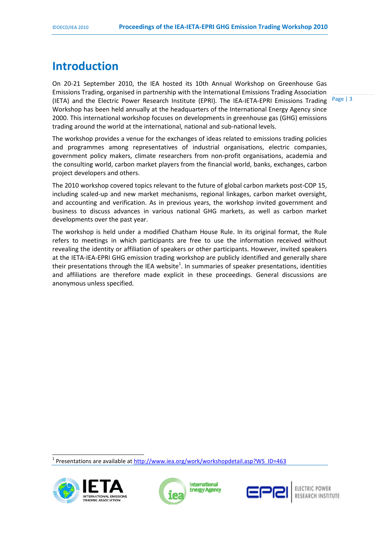## **Introduction**

On 20-21 September 2010, the IEA hosted its 10th Annual Workshop on Greenhouse Gas Emissions Trading, organised in partnership with the International Emissions Trading Association (IETA) and the Electric Power Research Institute (EPRI). The IEA-IETA-EPRI Emissions Trading Workshop has been held annually at the headquarters of the International Energy Agency since 2000. This international workshop focuses on developments in greenhouse gas (GHG) emissions trading around the world at the international, national and sub-national levels.

Page | 3

The workshop provides a venue for the exchanges of ideas related to emissions trading policies and programmes among representatives of industrial organisations, electric companies, government policy makers, climate researchers from non-profit organisations, academia and the consulting world, carbon market players from the financial world, banks, exchanges, carbon project developers and others.

The 2010 workshop covered topics relevant to the future of global carbon markets post-COP 15, including scaled-up and new market mechanisms, regional linkages, carbon market oversight, and accounting and verification. As in previous years, the workshop invited government and business to discuss advances in various national GHG markets, as well as carbon market developments over the past year.

The workshop is held under a modified Chatham House Rule. In its original format, the Rule refers to meetings in which participants are free to use the information received without revealing the identity or affiliation of speakers or other participants. However, invited speakers at the IETA-IEA-EPRI GHG emission trading workshop are publicly identified and generally share their presentations through the IEA website<sup>1</sup>. In summaries of speaker presentations, identities and affiliations are therefore made explicit in these proceedings. General discussions are anonymous unless specified.

<sup>1</sup> Presentations are available at http://www.iea.org/work/workshopdetail.asp?WS\_ID=463



 $\overline{a}$ 



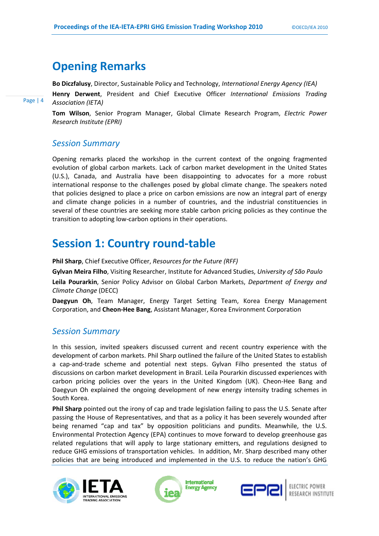## **Opening Remarks**

**Bo Diczfalusy**, Director, Sustainable Policy and Technology, *International Energy Agency (IEA)*

**Henry Derwent**, President and Chief Executive Officer *International Emissions Trading Association (IETA)* 

**Tom Wilson**, Senior Program Manager, Global Climate Research Program, *Electric Power Research Institute (EPRI)* 

### *Session Summary*

Page | 4

Opening remarks placed the workshop in the current context of the ongoing fragmented evolution of global carbon markets. Lack of carbon market development in the United States (U.S.), Canada, and Australia have been disappointing to advocates for a more robust international response to the challenges posed by global climate change. The speakers noted that policies designed to place a price on carbon emissions are now an integral part of energy and climate change policies in a number of countries, and the industrial constituencies in several of these countries are seeking more stable carbon pricing policies as they continue the transition to adopting low-carbon options in their operations.

## **Session 1: Country round-table**

**Phil Sharp**, Chief Executive Officer, *Resources for the Future (RFF)*

**Gylvan Meira Filho**, Visiting Researcher, Institute for Advanced Studies, *University of São Paulo*

**Leila Pourarkin**, Senior Policy Advisor on Global Carbon Markets, *Department of Energy and Climate Change* (DECC)

**Daegyun Oh**, Team Manager, Energy Target Setting Team, Korea Energy Management Corporation, and **Cheon-Hee Bang**, Assistant Manager, Korea Environment Corporation

## *Session Summary*

In this session, invited speakers discussed current and recent country experience with the development of carbon markets. Phil Sharp outlined the failure of the United States to establish a cap-and-trade scheme and potential next steps. Gylvan Filho presented the status of discussions on carbon market development in Brazil. Leila Pourarkin discussed experiences with carbon pricing policies over the years in the United Kingdom (UK). Cheon-Hee Bang and Daegyun Oh explained the ongoing development of new energy intensity trading schemes in South Korea.

**Phil Sharp** pointed out the irony of cap and trade legislation failing to pass the U.S. Senate after passing the House of Representatives, and that as a policy it has been severely wounded after being renamed "cap and tax" by opposition politicians and pundits. Meanwhile, the U.S. Environmental Protection Agency (EPA) continues to move forward to develop greenhouse gas related regulations that will apply to large stationary emitters, and regulations designed to reduce GHG emissions of transportation vehicles. In addition, Mr. Sharp described many other policies that are being introduced and implemented in the U.S. to reduce the nation's GHG







ELECTRIC POWER<br>RESEARCH INSTITUTE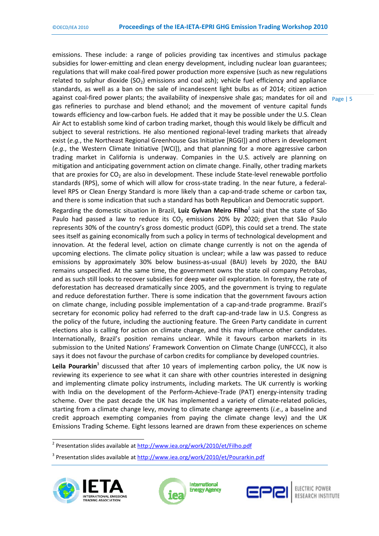against coal-fired power plants; the availability of inexpensive shale gas; mandates for oil and neage | 5 emissions. These include: a range of policies providing tax incentives and stimulus package subsidies for lower-emitting and clean energy development, including nuclear loan guarantees; regulations that will make coal-fired power production more expensive (such as new regulations related to sulphur dioxide ( $SO<sub>2</sub>$ ) emissions and coal ash); vehicle fuel efficiency and appliance standards, as well as a ban on the sale of incandescent light bulbs as of 2014; citizen action gas refineries to purchase and blend ethanol; and the movement of venture capital funds towards efficiency and low-carbon fuels. He added that it may be possible under the U.S. Clean Air Act to establish some kind of carbon trading market, though this would likely be difficult and subject to several restrictions. He also mentioned regional-level trading markets that already exist (*e.g.*, the Northeast Regional Greenhouse Gas Initiative [RGGI]) and others in development (*e.g.*, the Western Climate Initiative [WCI]), and that planning for a more aggressive carbon trading market in California is underway. Companies in the U.S. actively are planning on mitigation and anticipating government action on climate change. Finally, other trading markets that are proxies for  $CO<sub>2</sub>$  are also in development. These include State-level renewable portfolio standards (RPS), some of which will allow for cross-state trading. In the near future, a federallevel RPS or Clean Energy Standard is more likely than a cap-and-trade scheme or carbon tax, and there is some indication that such a standard has both Republican and Democratic support.

Regarding the domestic situation in Brazil, Luiz Gylvan Meiro Filho<sup>2</sup> said that the state of São Paulo had passed a law to reduce its  $CO<sub>2</sub>$  emissions 20% by 2020; given that São Paulo represents 30% of the country's gross domestic product (GDP), this could set a trend. The state sees itself as gaining economically from such a policy in terms of technological development and innovation. At the federal level, action on climate change currently is not on the agenda of upcoming elections. The climate policy situation is unclear; while a law was passed to reduce emissions by approximately 30% below business-as-usual (BAU) levels by 2020, the BAU remains unspecified. At the same time, the government owns the state oil company Petrobas, and as such still looks to recover subsidies for deep water oil exploration. In forestry, the rate of deforestation has decreased dramatically since 2005, and the government is trying to regulate and reduce deforestation further. There is some indication that the government favours action on climate change, including possible implementation of a cap-and-trade programme. Brazil's secretary for economic policy had referred to the draft cap-and-trade law in U.S. Congress as the policy of the future, including the auctioning feature. The Green Party candidate in current elections also is calling for action on climate change, and this may influence other candidates. Internationally, Brazil's position remains unclear. While it favours carbon markets in its submission to the United Nations' Framework Convention on Climate Change (UNFCCC), it also says it does not favour the purchase of carbon credits for compliance by developed countries.

Leila Pourarkin<sup>3</sup> discussed that after 10 years of implementing carbon policy, the UK now is reviewing its experience to see what it can share with other countries interested in designing and implementing climate policy instruments, including markets. The UK currently is working with India on the development of the Perform-Achieve-Trade (PAT) energy-intensity trading scheme. Over the past decade the UK has implemented a variety of climate-related policies, starting from a climate change levy, moving to climate change agreements (*i.e.*, a baseline and credit approach exempting companies from paying the climate change levy) and the UK Emissions Trading Scheme. Eight lessons learned are drawn from these experiences on scheme

<sup>&</sup>lt;sup>3</sup> Presentation slides available at http://www.iea.org/work/2010/et/Pourarkin.pdf







and a Presentation slides available at http://www.iea.org/work/2010/et/Filho.pdf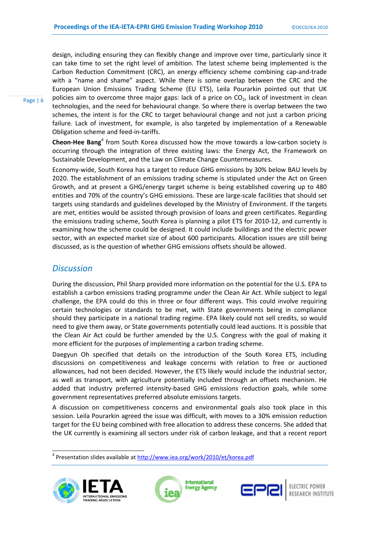design, including ensuring they can flexibly change and improve over time, particularly since it can take time to set the right level of ambition. The latest scheme being implemented is the Carbon Reduction Commitment (CRC), an energy efficiency scheme combining cap-and-trade with a "name and shame" aspect. While there is some overlap between the CRC and the European Union Emissions Trading Scheme (EU ETS), Leila Pourarkin pointed out that UK policies aim to overcome three major gaps: lack of a price on  $CO<sub>2</sub>$ , lack of investment in clean technologies, and the need for behavioural change. So where there is overlap between the two schemes, the intent is for the CRC to target behavioural change and not just a carbon pricing failure. Lack of investment, for example, is also targeted by implementation of a Renewable Obligation scheme and feed-in-tariffs.

Cheon-Hee Bang<sup>4</sup> from South Korea discussed how the move towards a low-carbon society is occurring through the integration of three existing laws: the Energy Act, the Framework on Sustainable Development, and the Law on Climate Change Countermeasures.

Economy-wide, South Korea has a target to reduce GHG emissions by 30% below BAU levels by 2020. The establishment of an emissions trading scheme is stipulated under the Act on Green Growth, and at present a GHG/energy target scheme is being established covering up to 480 entities and 70% of the country's GHG emissions. These are large-scale facilities that should set targets using standards and guidelines developed by the Ministry of Environment. If the targets are met, entities would be assisted through provision of loans and green certificates. Regarding the emissions trading scheme, South Korea is planning a pilot ETS for 2010-12, and currently is examining how the scheme could be designed. It could include buildings and the electric power sector, with an expected market size of about 600 participants. Allocation issues are still being discussed, as is the question of whether GHG emissions offsets should be allowed.

### *Discussion*

During the discussion, Phil Sharp provided more information on the potential for the U.S. EPA to establish a carbon emissions trading programme under the Clean Air Act. While subject to legal challenge, the EPA could do this in three or four different ways. This could involve requiring certain technologies or standards to be met, with State governments being in compliance should they participate in a national trading regime. EPA likely could not sell credits, so would need to give them away, or State governments potentially could lead auctions. It is possible that the Clean Air Act could be further amended by the U.S. Congress with the goal of making it more efficient for the purposes of implementing a carbon trading scheme.

Daegyun Oh specified that details on the introduction of the South Korea ETS, including discussions on competitiveness and leakage concerns with relation to free or auctioned allowances, had not been decided. However, the ETS likely would include the industrial sector, as well as transport, with agriculture potentially included through an offsets mechanism. He added that industry preferred intensity-based GHG emissions reduction goals, while some government representatives preferred absolute emissions targets.

A discussion on competitiveness concerns and environmental goals also took place in this session. Leila Pourarkin agreed the issue was difficult, with moves to a 30% emission reduction target for the EU being combined with free allocation to address these concerns. She added that the UK currently is examining all sectors under risk of carbon leakage, and that a recent report

> **International Energy Agency**

<sup>&</sup>lt;sup>4</sup> Presentation slides available at http://www.iea.org/work/2010/et/korea.pdf



 $\overline{a}$ 





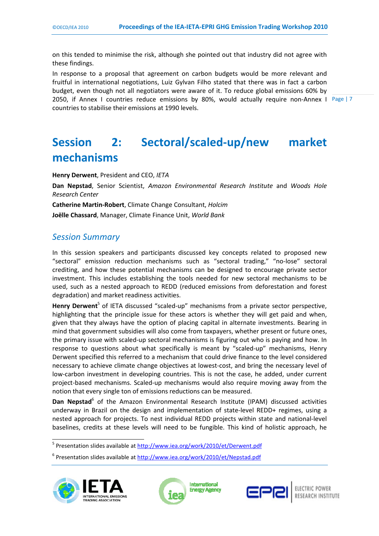on this tended to minimise the risk, although she pointed out that industry did not agree with these findings.

2050, if Annex I countries reduce emissions by 80%, would actually require non-Annex I Page | 7 In response to a proposal that agreement on carbon budgets would be more relevant and fruitful in international negotiations, Luiz Gylvan Filho stated that there was in fact a carbon budget, even though not all negotiators were aware of it. To reduce global emissions 60% by countries to stabilise their emissions at 1990 levels.

## **Session 2: Sectoral/scaled-up/new market mechanisms**

**Henry Derwent**, President and CEO, *IETA* 

**Dan Nepstad**, Senior Scientist, *Amazon Environmental Research Institute* and *Woods Hole Research Center*

**Catherine Martin-Robert**, Climate Change Consultant, *Holcim*  **Joëlle Chassard**, Manager, Climate Finance Unit, *World Bank*

## *Session Summary*

In this session speakers and participants discussed key concepts related to proposed new "sectoral" emission reduction mechanisms such as "sectoral trading," "no-lose" sectoral crediting, and how these potential mechanisms can be designed to encourage private sector investment. This includes establishing the tools needed for new sectoral mechanisms to be used, such as a nested approach to REDD (reduced emissions from deforestation and forest degradation) and market readiness activities.

Henry Derwent<sup>5</sup> of IETA discussed "scaled-up" mechanisms from a private sector perspective, highlighting that the principle issue for these actors is whether they will get paid and when, given that they always have the option of placing capital in alternate investments. Bearing in mind that government subsidies will also come from taxpayers, whether present or future ones, the primary issue with scaled-up sectoral mechanisms is figuring out who is paying and how. In response to questions about what specifically is meant by "scaled-up" mechanisms, Henry Derwent specified this referred to a mechanism that could drive finance to the level considered necessary to achieve climate change objectives at lowest-cost, and bring the necessary level of low-carbon investment in developing countries. This is not the case, he added, under current project-based mechanisms. Scaled-up mechanisms would also require moving away from the notion that every single ton of emissions reductions can be measured.

Dan Nepstad<sup>6</sup> of the Amazon Environmental Research Institute (IPAM) discussed activities underway in Brazil on the design and implementation of state-level REDD+ regimes, using a nested approach for projects. To nest individual REDD projects within state and national-level baselines, credits at these levels will need to be fungible. This kind of holistic approach, he

<sup>&</sup>lt;sup>6</sup> Presentation slides available at http://www.iea.org/work/2010/et/Nepstad.pdf







 5 Presentation slides available at http://www.iea.org/work/2010/et/Derwent.pdf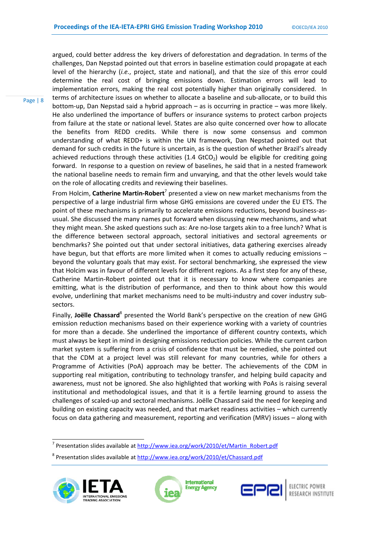argued, could better address the key drivers of deforestation and degradation. In terms of the challenges, Dan Nepstad pointed out that errors in baseline estimation could propagate at each level of the hierarchy (*i.e.*, project, state and national), and that the size of this error could determine the real cost of bringing emissions down. Estimation errors will lead to implementation errors, making the real cost potentially higher than originally considered. In terms of architecture issues on whether to allocate a baseline and sub-allocate, or to build this bottom-up, Dan Nepstad said a hybrid approach – as is occurring in practice – was more likely. He also underlined the importance of buffers or insurance systems to protect carbon projects from failure at the state or national level. States are also quite concerned over how to allocate the benefits from REDD credits. While there is now some consensus and common understanding of what REDD+ is within the UN framework, Dan Nepstad pointed out that demand for such credits in the future is uncertain, as is the question of whether Brazil's already achieved reductions through these activities (1.4 GtCO<sub>2</sub>) would be eligible for crediting going forward. In response to a question on review of baselines, he said that in a nested framework the national baseline needs to remain firm and unvarying, and that the other levels would take on the role of allocating credits and reviewing their baselines.

From Holcim, Catherine Martin-Robert<sup>7</sup> presented a view on new market mechanisms from the perspective of a large industrial firm whose GHG emissions are covered under the EU ETS. The point of these mechanisms is primarily to accelerate emissions reductions, beyond business-asusual. She discussed the many names put forward when discussing new mechanisms, and what they might mean. She asked questions such as: Are no-lose targets akin to a free lunch? What is the difference between sectoral approach, sectoral initiatives and sectoral agreements or benchmarks? She pointed out that under sectoral initiatives, data gathering exercises already have begun, but that efforts are more limited when it comes to actually reducing emissions – beyond the voluntary goals that may exist. For sectoral benchmarking, she expressed the view that Holcim was in favour of different levels for different regions. As a first step for any of these, Catherine Martin-Robert pointed out that it is necessary to know where companies are emitting, what is the distribution of performance, and then to think about how this would evolve, underlining that market mechanisms need to be multi-industry and cover industry subsectors.

Finally, Joëlle Chassard<sup>8</sup> presented the World Bank's perspective on the creation of new GHG emission reduction mechanisms based on their experience working with a variety of countries for more than a decade. She underlined the importance of different country contexts, which must always be kept in mind in designing emissions reduction policies. While the current carbon market system is suffering from a crisis of confidence that must be remedied, she pointed out that the CDM at a project level was still relevant for many countries, while for others a Programme of Activities (PoA) approach may be better. The achievements of the CDM in supporting real mitigation, contributing to technology transfer, and helping build capacity and awareness, must not be ignored. She also highlighted that working with PoAs is raising several institutional and methodological issues, and that it is a fertile learning ground to assess the challenges of scaled-up and sectoral mechanisms. Joëlle Chassard said the need for keeping and building on existing capacity was needed, and that market readiness activities – which currently focus on data gathering and measurement, reporting and verification (MRV) issues – along with

<sup>&</sup>lt;sup>8</sup> Presentation slides available at http://www.iea.org/work/2010/et/Chassard.pdf



Page | 8





nder and the sentetion slides available at http://www.iea.org/work/2010/et/Martin\_Robert.pdf<br>Teresentation slides available at http://www.iea.org/work/2010/et/Martin\_Robert.pdf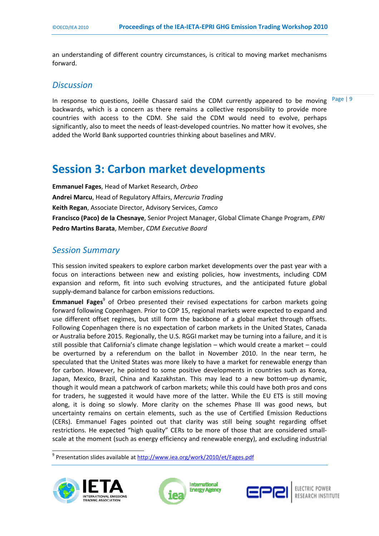an understanding of different country circumstances, is critical to moving market mechanisms forward.

#### *Discussion*

Page | 9

In response to questions, Joëlle Chassard said the CDM currently appeared to be moving backwards, which is a concern as there remains a collective responsibility to provide more countries with access to the CDM. She said the CDM would need to evolve, perhaps significantly, also to meet the needs of least-developed countries. No matter how it evolves, she added the World Bank supported countries thinking about baselines and MRV.

## **Session 3: Carbon market developments**

**Emmanuel Fages**, Head of Market Research, *Orbeo* **Andrei Marcu**, Head of Regulatory Affairs, *Mercuria Trading*  **Keith Regan**, Associate Director, Advisory Services, *Camco* **Francisco (Paco) de la Chesnaye**, Senior Project Manager, Global Climate Change Program, *EPRI* **Pedro Martins Barata**, Member, *CDM Executive Board* 

### *Session Summary*

This session invited speakers to explore carbon market developments over the past year with a focus on interactions between new and existing policies, how investments, including CDM expansion and reform, fit into such evolving structures, and the anticipated future global supply-demand balance for carbon emissions reductions.

Emmanuel Fages<sup>9</sup> of Orbeo presented their revised expectations for carbon markets going forward following Copenhagen. Prior to COP 15, regional markets were expected to expand and use different offset regimes, but still form the backbone of a global market through offsets. Following Copenhagen there is no expectation of carbon markets in the United States, Canada or Australia before 2015. Regionally, the U.S. RGGI market may be turning into a failure, and it is still possible that California's climate change legislation – which would create a market – could be overturned by a referendum on the ballot in November 2010. In the near term, he speculated that the United States was more likely to have a market for renewable energy than for carbon. However, he pointed to some positive developments in countries such as Korea, Japan, Mexico, Brazil, China and Kazakhstan. This may lead to a new bottom-up dynamic, though it would mean a patchwork of carbon markets; while this could have both pros and cons for traders, he suggested it would have more of the latter. While the EU ETS is still moving along, it is doing so slowly. More clarity on the schemes Phase III was good news, but uncertainty remains on certain elements, such as the use of Certified Emission Reductions (CERs). Emmanuel Fages pointed out that clarity was still being sought regarding offset restrictions. He expected "high quality" CERs to be more of those that are considered smallscale at the moment (such as energy efficiency and renewable energy), and excluding industrial

<sup>&</sup>lt;sup>9</sup> Presentation slides available at http://www.iea.org/work/2010/et/Fages.pdf



 $\overline{a}$ 



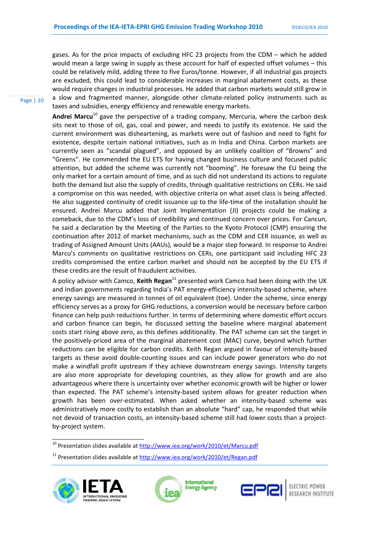gases. As for the price impacts of excluding HFC 23 projects from the CDM – which he added would mean a large swing in supply as these account for half of expected offset volumes – this could be relatively mild, adding three to five Euros/tonne. However, if all industrial gas projects are excluded, this could lead to considerable increases in marginal abatement costs, as these would require changes in industrial processes. He added that carbon markets would still grow in a slow and fragmented manner, alongside other climate-related policy instruments such as taxes and subsidies, energy efficiency and renewable energy markets.

**Andrei Marcu**10 gave the perspective of a trading company, Mercuria, where the carbon desk sits next to those of oil, gas, coal and power, and needs to justify its existence. He said the current environment was disheartening, as markets were out of fashion and need to fight for existence, despite certain national initiatives, such as in India and China. Carbon markets are currently seen as "scandal plagued", and opposed by an unlikely coalition of "Browns" and "Greens". He commended the EU ETS for having changed business culture and focused public attention, but added the scheme was currently not "booming". He foresaw the EU being the only market for a certain amount of time, and as such did not understand its actions to regulate both the demand but also the supply of credits, through qualitative restrictions on CERs. He said a compromise on this was needed, with objective criteria on what asset class is being affected. He also suggested continuity of credit issuance up to the life-time of the installation should be ensured. Andrei Marcu added that Joint Implementation (JI) projects could be making a comeback, due to the CDM's loss of credibility and continued concern over prices. For Cancun, he said a declaration by the Meeting of the Parties to the Kyoto Protocol (CMP) ensuring the continuation after 2012 of market mechanisms, such as the CDM and CER issuance, as well as trading of Assigned Amount Units (AAUs), would be a major step forward. In response to Andrei Marcu's comments on qualitative restrictions on CERs, one participant said including HFC 23 credits compromised the entire carbon market and should not be accepted by the EU ETS if these credits are the result of fraudulent activities.

A policy advisor with Camco, **Keith Regan**11 presented work Camco had been doing with the UK and Indian governments regarding India's PAT energy-efficiency intensity-based scheme, where energy savings are measured in tonnes of oil equivalent (toe). Under the scheme, since energy efficiency serves as a proxy for GHG reductions, a conversion would be necessary before carbon finance can help push reductions further. In terms of determining where domestic effort occurs and carbon finance can begin, he discussed setting the baseline where marginal abatement costs start rising above zero, as this defines additionality. The PAT scheme can set the target in the positively-priced area of the marginal abatement cost (MAC) curve, beyond which further reductions can be eligible for carbon credits. Keith Regan argued in favour of intensity-based targets as these avoid double-counting issues and can include power generators who do not make a windfall profit upstream if they achieve downstream energy savings. Intensity targets are also more appropriate for developing countries, as they allow for growth and are also advantageous where there is uncertainty over whether economic growth will be higher or lower than expected. The PAT scheme's intensity-based system allows for greater reduction when growth has been over-estimated. When asked whether an intensity-based scheme was administratively more costly to establish than an absolute "hard" cap, he responded that while not devoid of transaction costs, an intensity-based scheme still had lower costs than a projectby-project system.

<sup>&</sup>lt;sup>11</sup> Presentation slides available at http://www.iea.org/work/2010/et/Regan.pdf







RESEARCH INSTITUTE

Page | 10

<sup>10&</sup>lt;br><sup>10</sup> Presentation slides available at http://www.iea.org/work/2010/et/Marcu.pdf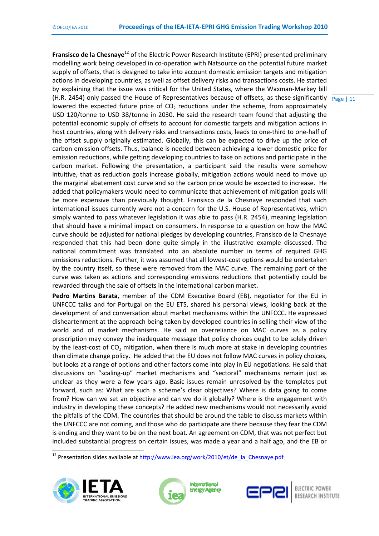(H.R. 2454) only passed the House of Representatives because of offsets, as these significantly  $\frac{P\text{age}}{11}$ **Fransisco de la Chesnaye**<sup>12</sup> of the Electric Power Research Institute (EPRI) presented preliminary modelling work being developed in co-operation with Natsource on the potential future market supply of offsets, that is designed to take into account domestic emission targets and mitigation actions in developing countries, as well as offset delivery risks and transactions costs. He started by explaining that the issue was critical for the United States, where the Waxman-Markey bill lowered the expected future price of  $CO<sub>2</sub>$  reductions under the scheme, from approximately USD 120/tonne to USD 38/tonne in 2030. He said the research team found that adjusting the potential economic supply of offsets to account for domestic targets and mitigation actions in host countries, along with delivery risks and transactions costs, leads to one-third to one-half of the offset supply originally estimated. Globally, this can be expected to drive up the price of carbon emission offsets. Thus, balance is needed between achieving a lower domestic price for emission reductions, while getting developing countries to take on actions and participate in the carbon market. Following the presentation, a participant said the results were somehow intuitive, that as reduction goals increase globally, mitigation actions would need to move up the marginal abatement cost curve and so the carbon price would be expected to increase. He added that policymakers would need to communicate that achievement of mitigation goals will be more expensive than previously thought. Fransisco de la Chesnaye responded that such international issues currently were not a concern for the U.S. House of Representatives, which simply wanted to pass whatever legislation it was able to pass (H.R. 2454), meaning legislation that should have a minimal impact on consumers. In response to a question on how the MAC curve should be adjusted for national pledges by developing countries, Fransisco de la Chesnaye responded that this had been done quite simply in the illustrative example discussed. The national commitment was translated into an absolute number in terms of required GHG emissions reductions. Further, it was assumed that all lowest-cost options would be undertaken by the country itself, so these were removed from the MAC curve. The remaining part of the curve was taken as actions and corresponding emissions reductions that potentially could be rewarded through the sale of offsets in the international carbon market.

**Pedro Martins Barata**, member of the CDM Executive Board (EB), negotiator for the EU in UNFCCC talks and for Portugal on the EU ETS, shared his personal views, looking back at the development of and conversation about market mechanisms within the UNFCCC. He expressed disheartenment at the approach being taken by developed countries in selling their view of the world and of market mechanisms. He said an overreliance on MAC curves as a policy prescription may convey the inadequate message that policy choices ought to be solely driven by the least-cost of  $CO<sub>2</sub>$  mitigation, when there is much more at stake in developing countries than climate change policy. He added that the EU does not follow MAC curves in policy choices, but looks at a range of options and other factors come into play in EU negotiations. He said that discussions on "scaling-up" market mechanisms and "sectoral" mechanisms remain just as unclear as they were a few years ago. Basic issues remain unresolved by the templates put forward, such as: What are such a scheme's clear objectives? Where is data going to come from? How can we set an objective and can we do it globally? Where is the engagement with industry in developing these concepts? He added new mechanisms would not necessarily avoid the pitfalls of the CDM. The countries that should be around the table to discuss markets within the UNFCCC are not coming, and those who do participate are there because they fear the CDM is ending and they want to be on the next boat. An agreement on CDM, that was not perfect but included substantial progress on certain issues, was made a year and a half ago, and the EB or

<sup>12&</sup>lt;br><sup>12</sup> Presentation slides available at http://www.iea.org/work/2010/et/de\_la\_Chesnaye.pdf







ELECTRIC POWER **RESEARCH INSTITUTE**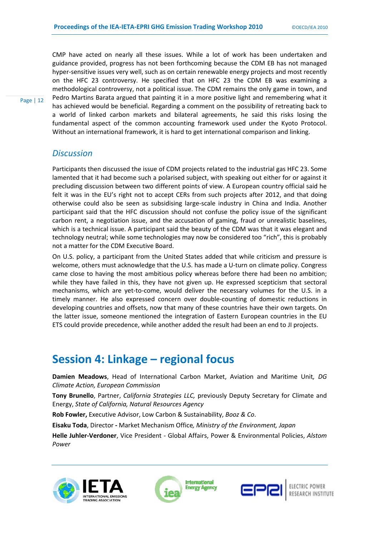CMP have acted on nearly all these issues. While a lot of work has been undertaken and guidance provided, progress has not been forthcoming because the CDM EB has not managed hyper-sensitive issues very well, such as on certain renewable energy projects and most recently on the HFC 23 controversy. He specified that on HFC 23 the CDM EB was examining a methodological controversy, not a political issue. The CDM remains the only game in town, and Pedro Martins Barata argued that painting it in a more positive light and remembering what it has achieved would be beneficial. Regarding a comment on the possibility of retreating back to a world of linked carbon markets and bilateral agreements, he said this risks losing the fundamental aspect of the common accounting framework used under the Kyoto Protocol. Without an international framework, it is hard to get international comparison and linking.

## *Discussion*

Participants then discussed the issue of CDM projects related to the industrial gas HFC 23. Some lamented that it had become such a polarised subject, with speaking out either for or against it precluding discussion between two different points of view. A European country official said he felt it was in the EU's right not to accept CERs from such projects after 2012, and that doing otherwise could also be seen as subsidising large-scale industry in China and India. Another participant said that the HFC discussion should not confuse the policy issue of the significant carbon rent, a negotiation issue, and the accusation of gaming, fraud or unrealistic baselines, which is a technical issue. A participant said the beauty of the CDM was that it was elegant and technology neutral; while some technologies may now be considered too "rich", this is probably not a matter for the CDM Executive Board.

On U.S. policy, a participant from the United States added that while criticism and pressure is welcome, others must acknowledge that the U.S. has made a U-turn on climate policy. Congress came close to having the most ambitious policy whereas before there had been no ambition; while they have failed in this, they have not given up. He expressed scepticism that sectoral mechanisms, which are yet-to-come, would deliver the necessary volumes for the U.S. in a timely manner. He also expressed concern over double-counting of domestic reductions in developing countries and offsets, now that many of these countries have their own targets. On the latter issue, someone mentioned the integration of Eastern European countries in the EU ETS could provide precedence, while another added the result had been an end to JI projects.

## **Session 4: Linkage – regional focus**

**Damien Meadows**, Head of International Carbon Market, Aviation and Maritime Unit*, DG Climate Action, European Commission*

**Tony Brunello**, Partner, *California Strategies LLC,* previously Deputy Secretary for Climate and Energy, *State of California, Natural Resources Agency*

**Rob Fowler,** Executive Advisor, Low Carbon & Sustainability, *Booz & Co*.

**Eisaku Toda**, Director **-** Market Mechanism Office*, Ministry of the Environment, Japan* 

**Helle Juhler-Verdoner**, Vice President - Global Affairs, Power & Environmental Policies, *Alstom Power*







RESEARCH INSTITUTE

Page | 12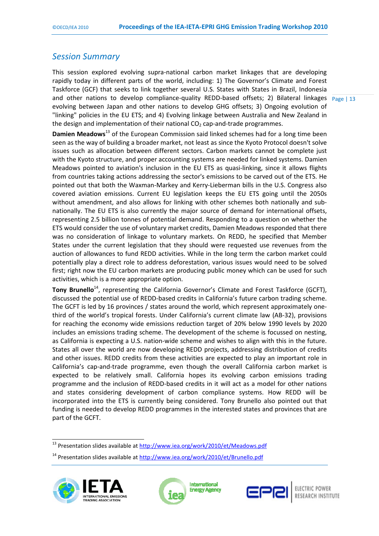## *Session Summary*

and other nations to develop compliance-quality REDD-based offsets; 2) Bilateral linkages Page | 13 This session explored evolving supra-national carbon market linkages that are developing rapidly today in different parts of the world, including: 1) The Governor's Climate and Forest Taskforce (GCF) that seeks to link together several U.S. States with States in Brazil, Indonesia evolving between Japan and other nations to develop GHG offsets; 3) Ongoing evolution of "linking" policies in the EU ETS; and 4) Evolving linkage between Australia and New Zealand in the design and implementation of their national  $CO<sub>2</sub>$  cap-and-trade programmes.

**Damien Meadows**13 of the European Commission said linked schemes had for a long time been seen as the way of building a broader market, not least as since the Kyoto Protocol doesn't solve issues such as allocation between different sectors. Carbon markets cannot be complete just with the Kyoto structure, and proper accounting systems are needed for linked systems. Damien Meadows pointed to aviation's inclusion in the EU ETS as quasi-linking, since it allows flights from countries taking actions addressing the sector's emissions to be carved out of the ETS. He pointed out that both the Waxman-Markey and Kerry-Lieberman bills in the U.S. Congress also covered aviation emissions. Current EU legislation keeps the EU ETS going until the 2050s without amendment, and also allows for linking with other schemes both nationally and subnationally. The EU ETS is also currently the major source of demand for international offsets, representing 2.5 billion tonnes of potential demand. Responding to a question on whether the ETS would consider the use of voluntary market credits, Damien Meadows responded that there was no consideration of linkage to voluntary markets. On REDD, he specified that Member States under the current legislation that they should were requested use revenues from the auction of allowances to fund REDD activities. While in the long term the carbon market could potentially play a direct role to address deforestation, various issues would need to be solved first; right now the EU carbon markets are producing public money which can be used for such activities, which is a more appropriate option.

**Tony Brunello**<sup>14</sup>, representing the California Governor's Climate and Forest Taskforce (GCFT), discussed the potential use of REDD-based credits in California's future carbon trading scheme. The GCFT is led by 16 provinces / states around the world, which represent approximately onethird of the world's tropical forests. Under California's current climate law (AB-32), provisions for reaching the economy wide emissions reduction target of 20% below 1990 levels by 2020 includes an emissions trading scheme. The development of the scheme is focussed on nesting, as California is expecting a U.S. nation-wide scheme and wishes to align with this in the future. States all over the world are now developing REDD projects, addressing distribution of credits and other issues. REDD credits from these activities are expected to play an important role in California's cap-and-trade programme, even though the overall California carbon market is expected to be relatively small. California hopes its evolving carbon emissions trading programme and the inclusion of REDD-based credits in it will act as a model for other nations and states considering development of carbon compliance systems. How REDD will be incorporated into the ETS is currently being considered. Tony Brunello also pointed out that funding is needed to develop REDD programmes in the interested states and provinces that are part of the GCFT.

<sup>&</sup>lt;sup>14</sup> Presentation slides available at http://www.iea.org/work/2010/et/Brunello.pdf







ELECTRIC POWER RESEARCH INSTITUTE

<sup>13&</sup>lt;br><sup>13</sup> Presentation slides available at http://www.iea.org/work/2010/et/Meadows.pdf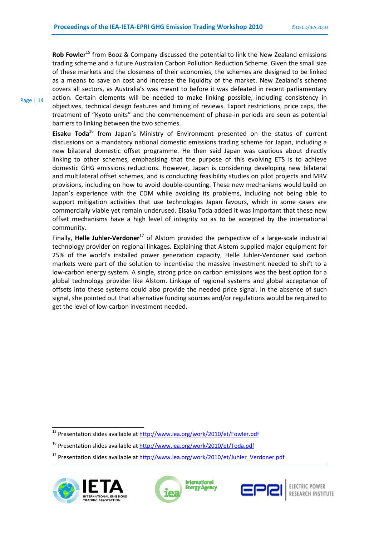**Rob Fowler**15 from Booz & Company discussed the potential to link the New Zealand emissions trading scheme and a future Australian Carbon Pollution Reduction Scheme. Given the small size of these markets and the closeness of their economies, the schemes are designed to be linked as a means to save on cost and increase the liquidity of the market. New Zealand's scheme covers all sectors, as Australia's was meant to before it was defeated in recent parliamentary action. Certain elements will be needed to make linking possible, including consistency in objectives, technical design features and timing of reviews. Export restrictions, price caps, the treatment of "Kyoto units" and the commencement of phase-in periods are seen as potential barriers to linking between the two schemes.

**Eisaku Toda**16 from Japan's Ministry of Environment presented on the status of current discussions on a mandatory national domestic emissions trading scheme for Japan, including a new bilateral domestic offset programme. He then said Japan was cautious about directly linking to other schemes, emphasising that the purpose of this evolving ETS is to achieve domestic GHG emissions reductions. However, Japan is considering developing new bilateral and multilateral offset schemes, and is conducting feasibility studies on pilot projects and MRV provisions, including on how to avoid double-counting. These new mechanisms would build on Japan's experience with the CDM while avoiding its problems, including not being able to support mitigation activities that use technologies Japan favours, which in some cases are commercially viable yet remain underused. Eisaku Toda added it was important that these new offset mechanisms have a high level of integrity so as to be accepted by the international community.

Finally, Helle Juhler-Verdoner<sup>17</sup> of Alstom provided the perspective of a large-scale industrial technology provider on regional linkages. Explaining that Alstom supplied major equipment for 25% of the world's installed power generation capacity, Helle Juhler-Verdoner said carbon markets were part of the solution to incentivise the massive investment needed to shift to a low-carbon energy system. A single, strong price on carbon emissions was the best option for a global technology provider like Alstom. Linkage of regional systems and global acceptance of offsets into these systems could also provide the needed price signal. In the absence of such signal, she pointed out that alternative funding sources and/or regulations would be required to get the level of low-carbon investment needed.

<sup>&</sup>lt;sup>17</sup> Presentation slides available at http://www.iea.org/work/2010/et/Juhler\_Verdoner.pdf



 $\overline{a}$ 

Page | 14







<sup>&</sup>lt;sup>15</sup> Presentation slides available at http://www.iea.org/work/2010/et/Fowler.pdf

<sup>&</sup>lt;sup>16</sup> Presentation slides available at http://www.iea.org/work/2010/et/Toda.pdf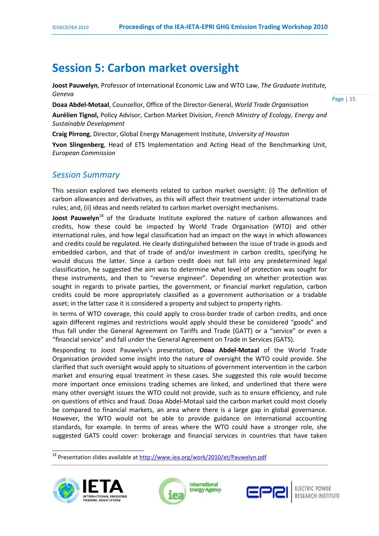## **Session 5: Carbon market oversight**

**Joost Pauwelyn**, Professor of International Economic Law and WTO Law, *The Graduate Institute, Geneva* 

**Doaa Abdel-Motaal**, Counsellor, Office of the Director-General, *World Trade Organisation*

Page | 15

**Aurélien Tignol,** Policy Advisor, Carbon Market Division, *French Ministry of Ecology, Energy and Sustainable Development* 

**Craig Pirrong**, Director, Global Energy Management Institute, *University of Houston*

**Yvon Slingenberg**, Head of ETS Implementation and Acting Head of the Benchmarking Unit, *European Commission*

## *Session Summary*

This session explored two elements related to carbon market oversight: (i) The definition of carbon allowances and derivatives, as this will affect their treatment under international trade rules; and, (ii) ideas and needs related to carbon market oversight mechanisms.

**Joost Pauwelyn**<sup>18</sup> of the Graduate Institute explored the nature of carbon allowances and credits, how these could be impacted by World Trade Organisation (WTO) and other international rules, and how legal classification had an impact on the ways in which allowances and credits could be regulated. He clearly distinguished between the issue of trade in goods and embedded carbon, and that of trade of and/or investment in carbon credits, specifying he would discuss the latter. Since a carbon credit does not fall into any predetermined legal classification, he suggested the aim was to determine what level of protection was sought for these instruments, and then to "reverse engineer". Depending on whether protection was sought in regards to private parties, the government, or financial market regulation, carbon credits could be more appropriately classified as a government authorisation or a tradable asset; in the latter case it is considered a property and subject to property rights.

In terms of WTO coverage, this could apply to cross-border trade of carbon credits, and once again different regimes and restrictions would apply should these be considered "goods" and thus fall under the General Agreement on Tariffs and Trade (GATT) or a "service" or even a "financial service" and fall under the General Agreement on Trade in Services (GATS).

Responding to Joost Pauwelyn's presentation, **Doaa Abdel-Motaal** of the World Trade Organisation provided some insight into the nature of oversight the WTO could provide. She clarified that such oversight would apply to situations of government intervention in the carbon market and ensuring equal treatment in these cases. She suggested this role would become more important once emissions trading schemes are linked, and underlined that there were many other oversight issues the WTO could not provide, such as to ensure efficiency, and rule on questions of ethics and fraud. Doaa Abdel-Motaal said the carbon market could most closely be compared to financial markets, an area where there is a large gap in global governance. However, the WTO would not be able to provide guidance on international accounting standards, for example. In terms of areas where the WTO could have a stronger role, she suggested GATS could cover: brokerage and financial services in countries that have taken

<sup>18&</sup>lt;br><sup>18</sup> Presentation slides available at http://www.iea.org/work/2010/et/Pauwelyn.pdf





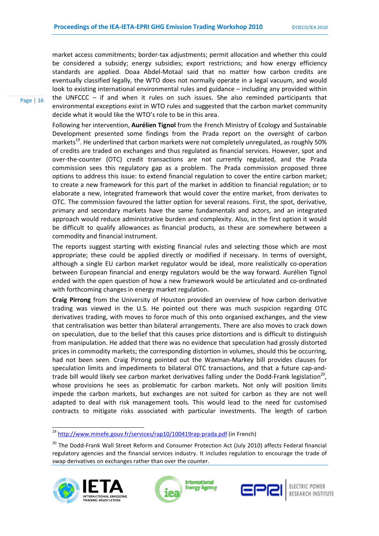market access commitments; border-tax adjustments; permit allocation and whether this could be considered a subsidy; energy subsidies; export restrictions; and how energy efficiency standards are applied. Doaa Abdel-Motaal said that no matter how carbon credits are eventually classified legally, the WTO does not normally operate in a legal vacuum, and would look to existing international environmental rules and guidance – including any provided within the UNFCCC – if and when it rules on such issues. She also reminded participants that environmental exceptions exist in WTO rules and suggested that the carbon market community decide what it would like the WTO's role to be in this area.

Following her intervention, **Aurélien Tignol** from the French Ministry of Ecology and Sustainable Development presented some findings from the Prada report on the oversight of carbon markets<sup>19</sup>. He underlined that carbon markets were not completely unregulated, as roughly 50% of credits are traded on exchanges and thus regulated as financial services. However, spot and over-the-counter (OTC) credit transactions are not currently regulated, and the Prada commission sees this regulatory gap as a problem. The Prada commission proposed three options to address this issue: to extend financial regulation to cover the entire carbon market; to create a new framework for this part of the market in addition to financial regulation; or to elaborate a new, integrated framework that would cover the entire market, from derivates to OTC. The commission favoured the latter option for several reasons. First, the spot, derivative, primary and secondary markets have the same fundamentals and actors, and an integrated approach would reduce administrative burden and complexity. Also, in the first option it would be difficult to qualify allowances as financial products, as these are somewhere between a commodity and financial instrument.

The reports suggest starting with existing financial rules and selecting those which are most appropriate; these could be applied directly or modified if necessary. In terms of oversight, although a single EU carbon market regulator would be ideal, more realistically co-operation between European financial and energy regulators would be the way forward. Aurélien Tignol ended with the open question of how a new framework would be articulated and co-ordinated with forthcoming changes in energy market regulation.

**Craig Pirrong** from the University of Houston provided an overview of how carbon derivative trading was viewed in the U.S. He pointed out there was much suspicion regarding OTC derivatives trading, with moves to force much of this onto organised exchanges, and the view that centralisation was better than bilateral arrangements. There are also moves to crack down on speculation, due to the belief that this causes price distortions and is difficult to distinguish from manipulation. He added that there was no evidence that speculation had grossly distorted prices in commodity markets; the corresponding distortion in volumes, should this be occurring, had not been seen. Craig Pirrong pointed out the Waxman-Markey bill provides clauses for speculation limits and impediments to bilateral OTC transactions, and that a future cap-andtrade bill would likely see carbon market derivatives falling under the Dodd-Frank legislation<sup>20</sup>. whose provisions he sees as problematic for carbon markets. Not only will position limits impede the carbon markets, but exchanges are not suited for carbon as they are not well adapted to deal with risk management tools. This would lead to the need for customised contracts to mitigate risks associated with particular investments. The length of carbon

19<br>19 http://www.minefe.gouv.fr/services/rap10/100419rap-prada.pdf (in French)

<sup>&</sup>lt;sup>20</sup> The Dodd-Frank Wall Street Reform and Consumer Protection Act (July 2010) affects Federal financial regulatory agencies and the financial services industry. It includes regulation to encourage the trade of swap derivatives on exchanges rather than over the counter.



Page | 16



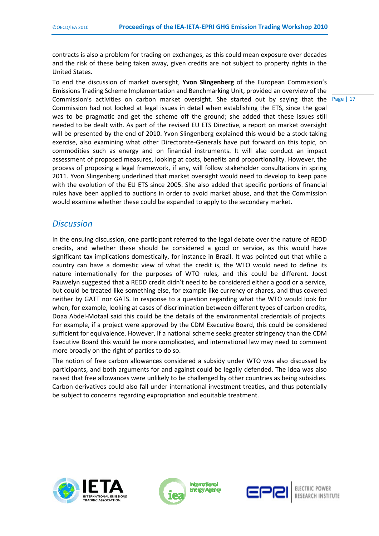contracts is also a problem for trading on exchanges, as this could mean exposure over decades and the risk of these being taken away, given credits are not subject to property rights in the United States.

To end the discussion of market oversight, **Yvon Slingenberg** of the European Commission's Emissions Trading Scheme Implementation and Benchmarking Unit, provided an overview of the Commission's activities on carbon market oversight. She started out by saying that the Commission had not looked at legal issues in detail when establishing the ETS, since the goal was to be pragmatic and get the scheme off the ground; she added that these issues still needed to be dealt with. As part of the revised EU ETS Directive, a report on market oversight will be presented by the end of 2010. Yvon Slingenberg explained this would be a stock-taking exercise, also examining what other Directorate-Generals have put forward on this topic, on commodities such as energy and on financial instruments. It will also conduct an impact assessment of proposed measures, looking at costs, benefits and proportionality. However, the process of proposing a legal framework, if any, will follow stakeholder consultations in spring 2011. Yvon Slingenberg underlined that market oversight would need to develop to keep pace with the evolution of the EU ETS since 2005. She also added that specific portions of financial rules have been applied to auctions in order to avoid market abuse, and that the Commission would examine whether these could be expanded to apply to the secondary market.

### *Discussion*

In the ensuing discussion, one participant referred to the legal debate over the nature of REDD credits, and whether these should be considered a good or service, as this would have significant tax implications domestically, for instance in Brazil. It was pointed out that while a country can have a domestic view of what the credit is, the WTO would need to define its nature internationally for the purposes of WTO rules, and this could be different. Joost Pauwelyn suggested that a REDD credit didn't need to be considered either a good or a service, but could be treated like something else, for example like currency or shares, and thus covered neither by GATT nor GATS. In response to a question regarding what the WTO would look for when, for example, looking at cases of discrimination between different types of carbon credits, Doaa Abdel-Motaal said this could be the details of the environmental credentials of projects. For example, if a project were approved by the CDM Executive Board, this could be considered sufficient for equivalence. However, if a national scheme seeks greater stringency than the CDM Executive Board this would be more complicated, and international law may need to comment more broadly on the right of parties to do so.

The notion of free carbon allowances considered a subsidy under WTO was also discussed by participants, and both arguments for and against could be legally defended. The idea was also raised that free allowances were unlikely to be challenged by other countries as being subsidies. Carbon derivatives could also fall under international investment treaties, and thus potentially be subject to concerns regarding expropriation and equitable treatment.





International **Energy Agency** 



Page | 17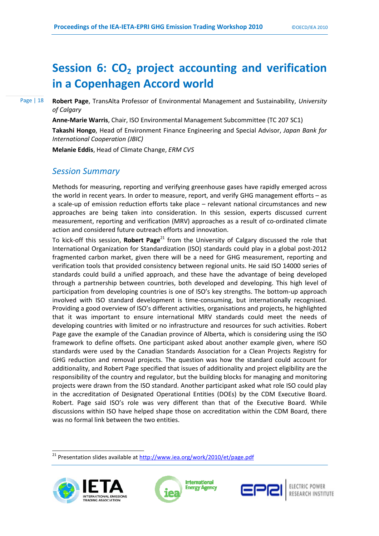## **Session 6: CO<sub>2</sub> project accounting and verification in a Copenhagen Accord world**

Page | 18

**Robert Page**, TransAlta Professor of Environmental Management and Sustainability, *University of Calgary*

**Anne-Marie Warris**, Chair, ISO Environmental Management Subcommittee (TC 207 SC1) **Takashi Hongo**, Head of Environment Finance Engineering and Special Advisor, *Japan Bank for International Cooperation (JBIC)*

**Melanie Eddis**, Head of Climate Change, *ERM CVS* 

## *Session Summary*

Methods for measuring, reporting and verifying greenhouse gases have rapidly emerged across the world in recent years. In order to measure, report, and verify GHG management efforts – as a scale-up of emission reduction efforts take place – relevant national circumstances and new approaches are being taken into consideration. In this session, experts discussed current measurement, reporting and verification (MRV) approaches as a result of co-ordinated climate action and considered future outreach efforts and innovation.

To kick-off this session, **Robert Page**<sup>21</sup> from the University of Calgary discussed the role that International Organization for Standardization (ISO) standards could play in a global post-2012 fragmented carbon market, given there will be a need for GHG measurement, reporting and verification tools that provided consistency between regional units. He said ISO 14000 series of standards could build a unified approach, and these have the advantage of being developed through a partnership between countries, both developed and developing. This high level of participation from developing countries is one of ISO's key strengths. The bottom-up approach involved with ISO standard development is time-consuming, but internationally recognised. Providing a good overview of ISO's different activities, organisations and projects, he highlighted that it was important to ensure international MRV standards could meet the needs of developing countries with limited or no infrastructure and resources for such activities. Robert Page gave the example of the Canadian province of Alberta, which is considering using the ISO framework to define offsets. One participant asked about another example given, where ISO standards were used by the Canadian Standards Association for a Clean Projects Registry for GHG reduction and removal projects. The question was how the standard could account for additionality, and Robert Page specified that issues of additionality and project eligibility are the responsibility of the country and regulator, but the building blocks for managing and monitoring projects were drawn from the ISO standard. Another participant asked what role ISO could play in the accreditation of Designated Operational Entities (DOEs) by the CDM Executive Board. Robert. Page said ISO's role was very different than that of the Executive Board. While discussions within ISO have helped shape those on accreditation within the CDM Board, there was no formal link between the two entities.

 $\frac{1}{21}$  Presentation slides available at  $\frac{http://www.iea.org/work/2010/et/page.pdf}{$ 





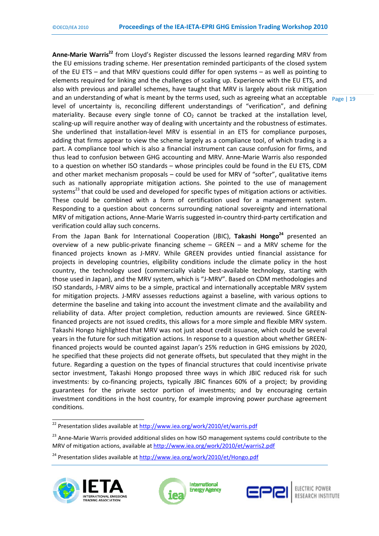and an understanding of what is meant by the terms used, such as agreeing what an acceptable  $\frac{P_{\text{age}}}{P_{\text{age}} + 19}$ Anne-Marie Warris<sup>22</sup> from Lloyd's Register discussed the lessons learned regarding MRV from the EU emissions trading scheme. Her presentation reminded participants of the closed system of the EU ETS – and that MRV questions could differ for open systems – as well as pointing to elements required for linking and the challenges of scaling up. Experience with the EU ETS, and also with previous and parallel schemes, have taught that MRV is largely about risk mitigation level of uncertainty is, reconciling different understandings of "verification", and defining materiality. Because every single tonne of  $CO<sub>2</sub>$  cannot be tracked at the installation level, scaling-up will require another way of dealing with uncertainty and the robustness of estimates. She underlined that installation-level MRV is essential in an ETS for compliance purposes, adding that firms appear to view the scheme largely as a compliance tool, of which trading is a part. A compliance tool which is also a financial instrument can cause confusion for firms, and thus lead to confusion between GHG accounting and MRV. Anne-Marie Warris also responded to a question on whether ISO standards – whose principles could be found in the EU ETS, CDM and other market mechanism proposals – could be used for MRV of "softer", qualitative items such as nationally appropriate mitigation actions. She pointed to the use of management systems<sup>23</sup> that could be used and developed for specific types of mitigation actions or activities. These could be combined with a form of certification used for a management system. Responding to a question about concerns surrounding national sovereignty and international MRV of mitigation actions, Anne-Marie Warris suggested in-country third-party certification and verification could allay such concerns.

From the Japan Bank for International Cooperation (JBIC), Takashi Hongo<sup>24</sup> presented an overview of a new public-private financing scheme – GREEN – and a MRV scheme for the financed projects known as J-MRV. While GREEN provides untied financial assistance for projects in developing countries, eligibility conditions include the climate policy in the host country, the technology used (commercially viable best-available technology, starting with those used in Japan), and the MRV system, which is "J-MRV". Based on CDM methodologies and ISO standards, J-MRV aims to be a simple, practical and internationally acceptable MRV system for mitigation projects. J-MRV assesses reductions against a baseline, with various options to determine the baseline and taking into account the investment climate and the availability and reliability of data. After project completion, reduction amounts are reviewed. Since GREENfinanced projects are not issued credits, this allows for a more simple and flexible MRV system. Takashi Hongo highlighted that MRV was not just about credit issuance, which could be several years in the future for such mitigation actions. In response to a question about whether GREENfinanced projects would be counted against Japan's 25% reduction in GHG emissions by 2020, he specified that these projects did not generate offsets, but speculated that they might in the future. Regarding a question on the types of financial structures that could incentivise private sector investment, Takashi Hongo proposed three ways in which JBIC reduced risk for such investments: by co-financing projects, typically JBIC finances 60% of a project; by providing guarantees for the private sector portion of investments; and by encouraging certain investment conditions in the host country, for example improving power purchase agreement conditions.

<sup>24</sup> Presentation slides available at http://www.iea.org/work/2010/et/Hongo.pdf







ELECTRIC POWER RESEARCH INSTITUTE

<sup>22&</sup>lt;br>22 Presentation slides available at http://www.iea.org/work/2010/et/warris.pdf

<sup>&</sup>lt;sup>23</sup> Anne-Marie Warris provided additional slides on how ISO management systems could contribute to the MRV of mitigation actions, available at http://www.iea.org/work/2010/et/warris2.pdf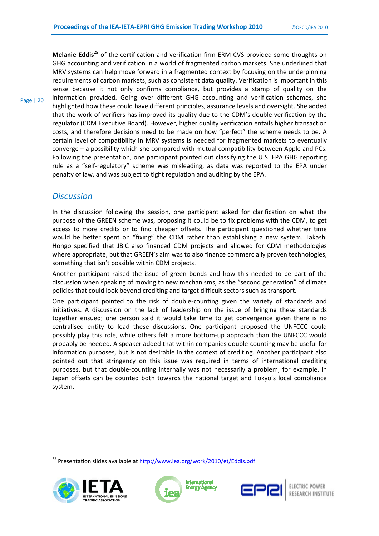**Melanie Eddis<sup>25</sup>** of the certification and verification firm ERM CVS provided some thoughts on GHG accounting and verification in a world of fragmented carbon markets. She underlined that MRV systems can help move forward in a fragmented context by focusing on the underpinning requirements of carbon markets, such as consistent data quality. Verification is important in this sense because it not only confirms compliance, but provides a stamp of quality on the information provided. Going over different GHG accounting and verification schemes, she highlighted how these could have different principles, assurance levels and oversight. She added that the work of verifiers has improved its quality due to the CDM's double verification by the regulator (CDM Executive Board). However, higher quality verification entails higher transaction costs, and therefore decisions need to be made on how "perfect" the scheme needs to be. A certain level of compatibility in MRV systems is needed for fragmented markets to eventually converge – a possibility which she compared with mutual compatibility between Apple and PCs. Following the presentation, one participant pointed out classifying the U.S. EPA GHG reporting rule as a "self-regulatory" scheme was misleading, as data was reported to the EPA under penalty of law, and was subject to tight regulation and auditing by the EPA.

### *Discussion*

Page | 20

In the discussion following the session, one participant asked for clarification on what the purpose of the GREEN scheme was, proposing it could be to fix problems with the CDM, to get access to more credits or to find cheaper offsets. The participant questioned whether time would be better spent on "fixing" the CDM rather than establishing a new system. Takashi Hongo specified that JBIC also financed CDM projects and allowed for CDM methodologies where appropriate, but that GREEN's aim was to also finance commercially proven technologies, something that isn't possible within CDM projects.

Another participant raised the issue of green bonds and how this needed to be part of the discussion when speaking of moving to new mechanisms, as the "second generation" of climate policies that could look beyond crediting and target difficult sectors such as transport.

One participant pointed to the risk of double-counting given the variety of standards and initiatives. A discussion on the lack of leadership on the issue of bringing these standards together ensued; one person said it would take time to get convergence given there is no centralised entity to lead these discussions. One participant proposed the UNFCCC could possibly play this role, while others felt a more bottom-up approach than the UNFCCC would probably be needed. A speaker added that within companies double-counting may be useful for information purposes, but is not desirable in the context of crediting. Another participant also pointed out that stringency on this issue was required in terms of international crediting purposes, but that double-counting internally was not necessarily a problem; for example, in Japan offsets can be counted both towards the national target and Tokyo's local compliance system.

<sup>25&</sup>lt;br>25 Presentation slides available at http://www.iea.org/work/2010/et/Eddis.pdf







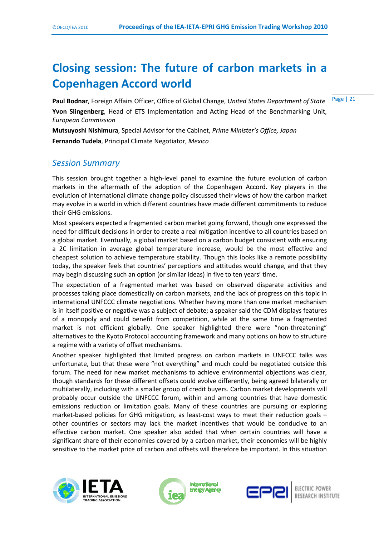## **Closing session: The future of carbon markets in a Copenhagen Accord world**

Page | 21 **Paul Bodnar**, Foreign Affairs Officer, Office of Global Change, *United States Department of State* **Yvon Slingenberg**, Head of ETS Implementation and Acting Head of the Benchmarking Unit, *European Commission*

**Mutsuyoshi Nishimura**, Special Advisor for the Cabinet, *Prime Minister's Office, Japan*  **Fernando Tudela**, Principal Climate Negotiator, *Mexico*

## *Session Summary*

This session brought together a high-level panel to examine the future evolution of carbon markets in the aftermath of the adoption of the Copenhagen Accord. Key players in the evolution of international climate change policy discussed their views of how the carbon market may evolve in a world in which different countries have made different commitments to reduce their GHG emissions.

Most speakers expected a fragmented carbon market going forward, though one expressed the need for difficult decisions in order to create a real mitigation incentive to all countries based on a global market. Eventually, a global market based on a carbon budget consistent with ensuring a 2C limitation in average global temperature increase, would be the most effective and cheapest solution to achieve temperature stability. Though this looks like a remote possibility today, the speaker feels that countries' perceptions and attitudes would change, and that they may begin discussing such an option (or similar ideas) in five to ten years' time.

The expectation of a fragmented market was based on observed disparate activities and processes taking place domestically on carbon markets, and the lack of progress on this topic in international UNFCCC climate negotiations. Whether having more than one market mechanism is in itself positive or negative was a subject of debate; a speaker said the CDM displays features of a monopoly and could benefit from competition, while at the same time a fragmented market is not efficient globally. One speaker highlighted there were "non-threatening" alternatives to the Kyoto Protocol accounting framework and many options on how to structure a regime with a variety of offset mechanisms.

Another speaker highlighted that limited progress on carbon markets in UNFCCC talks was unfortunate, but that these were "not everything" and much could be negotiated outside this forum. The need for new market mechanisms to achieve environmental objections was clear, though standards for these different offsets could evolve differently, being agreed bilaterally or multilaterally, including with a smaller group of credit buyers. Carbon market developments will probably occur outside the UNFCCC forum, within and among countries that have domestic emissions reduction or limitation goals. Many of these countries are pursuing or exploring market-based policies for GHG mitigation, as least-cost ways to meet their reduction goals – other countries or sectors may lack the market incentives that would be conducive to an effective carbon market. One speaker also added that when certain countries will have a significant share of their economies covered by a carbon market, their economies will be highly sensitive to the market price of carbon and offsets will therefore be important. In this situation





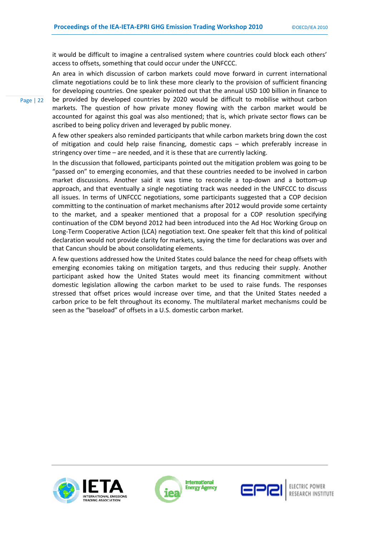it would be difficult to imagine a centralised system where countries could block each others' access to offsets, something that could occur under the UNFCCC.

An area in which discussion of carbon markets could move forward in current international climate negotiations could be to link these more clearly to the provision of sufficient financing for developing countries. One speaker pointed out that the annual USD 100 billion in finance to be provided by developed countries by 2020 would be difficult to mobilise without carbon markets. The question of how private money flowing with the carbon market would be accounted for against this goal was also mentioned; that is, which private sector flows can be ascribed to being policy driven and leveraged by public money.

A few other speakers also reminded participants that while carbon markets bring down the cost of mitigation and could help raise financing, domestic caps – which preferably increase in stringency over time – are needed, and it is these that are currently lacking.

In the discussion that followed, participants pointed out the mitigation problem was going to be "passed on" to emerging economies, and that these countries needed to be involved in carbon market discussions. Another said it was time to reconcile a top-down and a bottom-up approach, and that eventually a single negotiating track was needed in the UNFCCC to discuss all issues. In terms of UNFCCC negotiations, some participants suggested that a COP decision committing to the continuation of market mechanisms after 2012 would provide some certainty to the market, and a speaker mentioned that a proposal for a COP resolution specifying continuation of the CDM beyond 2012 had been introduced into the Ad Hoc Working Group on Long-Term Cooperative Action (LCA) negotiation text. One speaker felt that this kind of political declaration would not provide clarity for markets, saying the time for declarations was over and that Cancun should be about consolidating elements.

A few questions addressed how the United States could balance the need for cheap offsets with emerging economies taking on mitigation targets, and thus reducing their supply. Another participant asked how the United States would meet its financing commitment without domestic legislation allowing the carbon market to be used to raise funds. The responses stressed that offset prices would increase over time, and that the United States needed a carbon price to be felt throughout its economy. The multilateral market mechanisms could be seen as the "baseload" of offsets in a U.S. domestic carbon market.





**International Energy Agency** 



RESEARCH INSTITUTE

Page | 22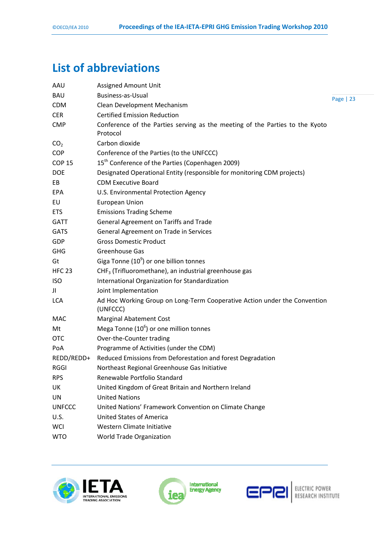## **List of abbreviations**

| AAU             | <b>Assigned Amount Unit</b>                                                              |           |
|-----------------|------------------------------------------------------------------------------------------|-----------|
| <b>BAU</b>      | <b>Business-as-Usual</b>                                                                 | Page   23 |
| <b>CDM</b>      | Clean Development Mechanism                                                              |           |
| <b>CER</b>      | <b>Certified Emission Reduction</b>                                                      |           |
| <b>CMP</b>      | Conference of the Parties serving as the meeting of the Parties to the Kyoto<br>Protocol |           |
| CO <sub>2</sub> | Carbon dioxide                                                                           |           |
| <b>COP</b>      | Conference of the Parties (to the UNFCCC)                                                |           |
| <b>COP 15</b>   | 15 <sup>th</sup> Conference of the Parties (Copenhagen 2009)                             |           |
| <b>DOE</b>      | Designated Operational Entity (responsible for monitoring CDM projects)                  |           |
| EB              | <b>CDM Executive Board</b>                                                               |           |
| <b>EPA</b>      | U.S. Environmental Protection Agency                                                     |           |
| EU              | <b>European Union</b>                                                                    |           |
| <b>ETS</b>      | <b>Emissions Trading Scheme</b>                                                          |           |
| <b>GATT</b>     | General Agreement on Tariffs and Trade                                                   |           |
| <b>GATS</b>     | General Agreement on Trade in Services                                                   |           |
| GDP             | <b>Gross Domestic Product</b>                                                            |           |
| <b>GHG</b>      | <b>Greenhouse Gas</b>                                                                    |           |
| Gt              | Giga Tonne $(10^9)$ or one billion tonnes                                                |           |
| <b>HFC 23</b>   | CHF <sub>3</sub> (Trifluoromethane), an industrial greenhouse gas                        |           |
| <b>ISO</b>      | International Organization for Standardization                                           |           |
| JI              | Joint Implementation                                                                     |           |
| <b>LCA</b>      | Ad Hoc Working Group on Long-Term Cooperative Action under the Convention<br>(UNFCCC)    |           |
| MAC             | <b>Marginal Abatement Cost</b>                                                           |           |
| Mt              | Mega Tonne $(10^6)$ or one million tonnes                                                |           |
| <b>OTC</b>      | Over-the-Counter trading                                                                 |           |
| PoA             | Programme of Activities (under the CDM)                                                  |           |
| REDD/REDD+      | Reduced Emissions from Deforestation and forest Degradation                              |           |
| RGGI            | Northeast Regional Greenhouse Gas Initiative                                             |           |
| <b>RPS</b>      | Renewable Portfolio Standard                                                             |           |
| UK              | United Kingdom of Great Britain and Northern Ireland                                     |           |
| UN              | <b>United Nations</b>                                                                    |           |
| <b>UNFCCC</b>   | United Nations' Framework Convention on Climate Change                                   |           |
| U.S.            | <b>United States of America</b>                                                          |           |
| <b>WCI</b>      | Western Climate Initiative                                                               |           |
| <b>WTO</b>      | World Trade Organization                                                                 |           |





**International**<br>Energy Agency

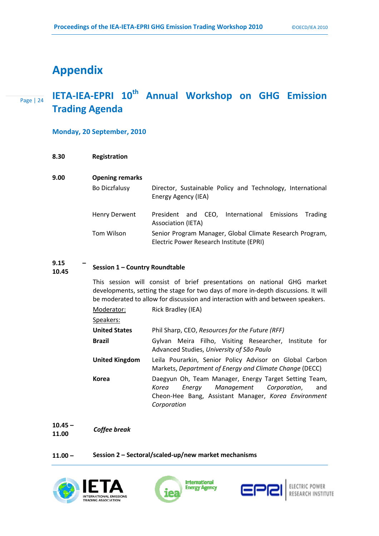## **Appendix**

### Page | 24 **IETA-IEA-EPRI 10th Annual Workshop on GHG Emission Trading Agenda**

#### **Monday, 20 September, 2010**

| 8.30 | <b>Registration</b> |
|------|---------------------|
|      |                     |

- **9.00 Opening remarks** 
	- Bo Diczfalusy Director, Sustainable Policy and Technology, International Energy Agency (IEA) Henry Derwent President and CEO, International Emissions Trading
	- Association (IETA) Tom Wilson Senior Program Manager, Global Climate Research Program, Electric Power Research Institute (EPRI)

#### **9.15 – 10.45 Session 1 – Country Roundtable**

This session will consist of brief presentations on national GHG market developments, setting the stage for two days of more in-depth discussions*.* It will be moderated to allow for discussion and interaction with and between speakers.

| Moderator: | Rick Bradley (IEA) |  |
|------------|--------------------|--|
|            |                    |  |

Speakers:

- **United States** Phil Sharp, CEO, *Resources for the Future (RFF)* **Brazil** Gylvan Meira Filho, Visiting Researcher, Institute for Advanced Studies, *University of São Paulo* **United Kingdom** Leila Pourarkin, Senior Policy Advisor on Global Carbon
- Markets, *Department of Energy and Climate Change* (DECC)
- **Korea** Daegyun Oh, Team Manager, Energy Target Setting Team, *Korea Energy Management Corporation*, and Cheon-Hee Bang, Assistant Manager, *Korea Environment Corporation*

**10.45 – 11.00** *Coffee break* 

#### **11.00 – Session 2 – Sectoral/scaled-up/new market mechanisms**







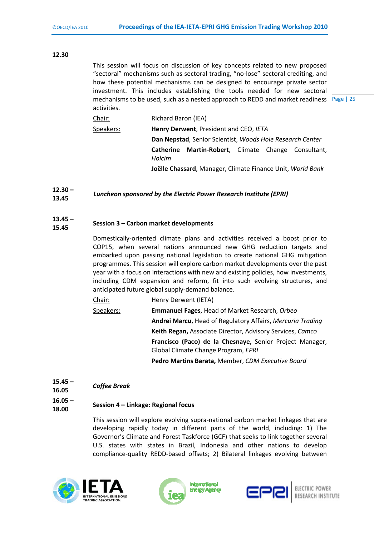#### **12.30**

mechanisms to be used, such as a nested approach to REDD and market readiness Page | 25 This session will focus on discussion of key concepts related to new proposed "sectoral" mechanisms such as sectoral trading, "no-lose" sectoral crediting, and how these potential mechanisms can be designed to encourage private sector investment. This includes establishing the tools needed for new sectoral activities.

| Chair: | Richard Baron (IEA) |
|--------|---------------------|

Speakers: **Henry Derwent**, President and CEO, *IETA*  **Dan Nepstad**, Senior Scientist, *Woods Hole Research Center*  **Catherine Martin-Robert**, Climate Change Consultant, *Holcim*  **Joëlle Chassard**, Manager, Climate Finance Unit, *World Bank* 

#### **12.30 – 13.45** *Luncheon sponsored by the Electric Power Research Institute (EPRI)*

#### **13.45 – 15.45 Session 3 – Carbon market developments**

Domestically-oriented climate plans and activities received a boost prior to COP15, when several nations announced new GHG reduction targets and embarked upon passing national legislation to create national GHG mitigation programmes. This session will explore carbon market developments over the past year with a focus on interactions with new and existing policies, how investments, including CDM expansion and reform, fit into such evolving structures, and anticipated future global supply-demand balance.

Chair: Henry Derwent (IETA) Speakers: **Emmanuel Fages**, Head of Market Research, *Orbeo*  **Andrei Marcu**, Head of Regulatory Affairs, *Mercuria Trading*   **Keith Regan,** Associate Director, Advisory Services, *Camco*  **Francisco (Paco) de la Chesnaye,** Senior Project Manager, Global Climate Change Program, *EPRI*  **Pedro Martins Barata,** Member, *CDM Executive Board*

**15.45 – 16.05** *Coffee Break* 

## **16.05 –**

## **18.00 Session 4 – Linkage: Regional focus**

This session will explore evolving supra-national carbon market linkages that are developing rapidly today in different parts of the world, including: 1) The Governor's Climate and Forest Taskforce (GCF) that seeks to link together several U.S. states with states in Brazil, Indonesia and other nations to develop compliance-quality REDD-based offsets; 2) Bilateral linkages evolving between





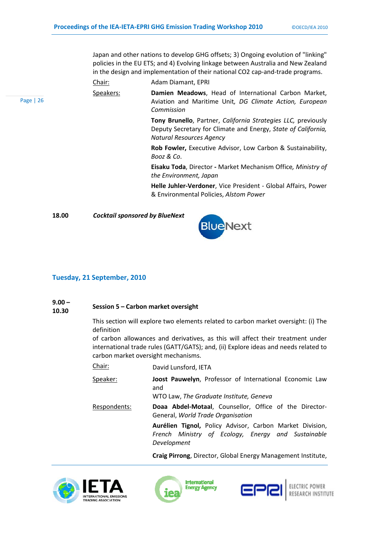Japan and other nations to develop GHG offsets; 3) Ongoing evolution of "linking" policies in the EU ETS; and 4) Evolving linkage between Australia and New Zealand in the design and implementation of their national CO2 cap-and-trade programs.

Chair: Adam Diamant, EPRI

Speakers: **Damien Meadows**, Head of International Carbon Market, Aviation and Maritime Unit*, DG Climate Action, European Commission*

> **Tony Brunello**, Partner, *California Strategies LLC,* previously Deputy Secretary for Climate and Energy, *State of California, Natural Resources Agency*

> **Rob Fowler,** Executive Advisor, Low Carbon & Sustainability, *Booz & Co*.

> **Eisaku Toda**, Director **-** Market Mechanism Office*, Ministry of the Environment, Japan*

> **Helle Juhler-Verdoner**, Vice President - Global Affairs, Power & Environmental Policies, *Alstom Power*

Page | 26

**18.00** *Cocktail sponsored by BlueNext*



#### **Tuesday, 21 September, 2010**

## **9.00 –**

## **10.30 Session 5 – Carbon market oversight**

This section will explore two elements related to carbon market oversight: (i) The definition

of carbon allowances and derivatives, as this will affect their treatment under international trade rules (GATT/GATS); and, (ii) Explore ideas and needs related to carbon market oversight mechanisms.

| Chair: | David Lunsford, IETA |
|--------|----------------------|
|--------|----------------------|

Speaker: **Joost Pauwelyn**, Professor of International Economic Law and

WTO Law, *The Graduate Institute, Geneva*

Respondents: **Doaa Abdel-Motaal**, Counsellor, Office of the Director-General, *World Trade Organisation*

> **Aurélien Tignol,** Policy Advisor, Carbon Market Division, *French Ministry of Ecology, Energy and Sustainable Development*

> **Craig Pirrong**, Director, Global Energy Management Institute,





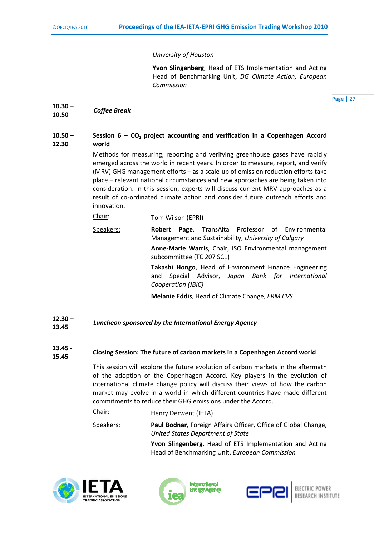#### *University of Houston*

**Yvon Slingenberg**, Head of ETS Implementation and Acting Head of Benchmarking Unit, *DG Climate Action, European Commission*

Page | 27

**10.30 – 10.50** *Coffee Break*

#### **10.50 – 12.30**  Session  $6 - CO<sub>2</sub>$  project accounting and verification in a Copenhagen Accord **world**

Methods for measuring, reporting and verifying greenhouse gases have rapidly emerged across the world in recent years. In order to measure, report, and verify (MRV) GHG management efforts – as a scale-up of emission reduction efforts take place – relevant national circumstances and new approaches are being taken into consideration. In this session, experts will discuss current MRV approaches as a result of co-ordinated climate action and consider future outreach efforts and innovation.

Chair: Tom Wilson (EPRI)

Speakers: **Robert Page**, TransAlta Professor of Environmental Management and Sustainability, *University of Calgary*

> **Anne-Marie Warris**, Chair, ISO Environmental management subcommittee (TC 207 SC1)

**Takashi Hongo**, Head of Environment Finance Engineering and Special Advisor, *Japan Bank for International Cooperation (JBIC)*

 **Melanie Eddis**, Head of Climate Change, *ERM CVS*

- **12.30 – 13.45** *Luncheon sponsored by the International Energy Agency*
- **13.45 15.45 Closing Session: The future of carbon markets in a Copenhagen Accord world**

This session will explore the future evolution of carbon markets in the aftermath of the adoption of the Copenhagen Accord. Key players in the evolution of international climate change policy will discuss their views of how the carbon market may evolve in a world in which different countries have made different commitments to reduce their GHG emissions under the Accord.

Chair: Henry Derwent (IETA) Speakers: **Paul Bodnar**, Foreign Affairs Officer, Office of Global Change, *United States Department of State* **Yvon Slingenberg**, Head of ETS Implementation and Acting

Head of Benchmarking Unit, *European Commission*





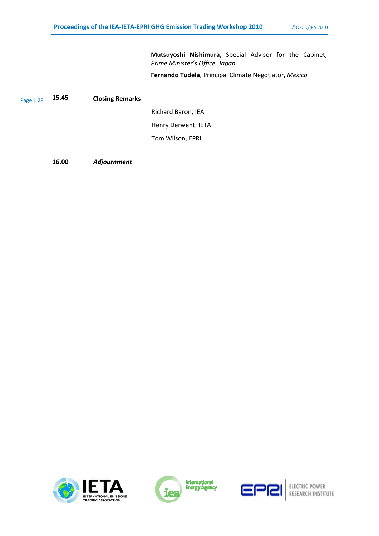**Mutsuyoshi Nishimura**, Special Advisor for the Cabinet, *Prime Minister's Office, Japan*

**Fernando Tudela**, Principal Climate Negotiator, *Mexico*

| Page   28 | 15.45 | <b>Closing Remarks</b> |
|-----------|-------|------------------------|
|           |       |                        |

 Richard Baron, IEA Henry Derwent, IETA Tom Wilson, EPRI

**16.00** *Adjournment* 







ELECTRIC POWER<br>RESEARCH INSTITUTE